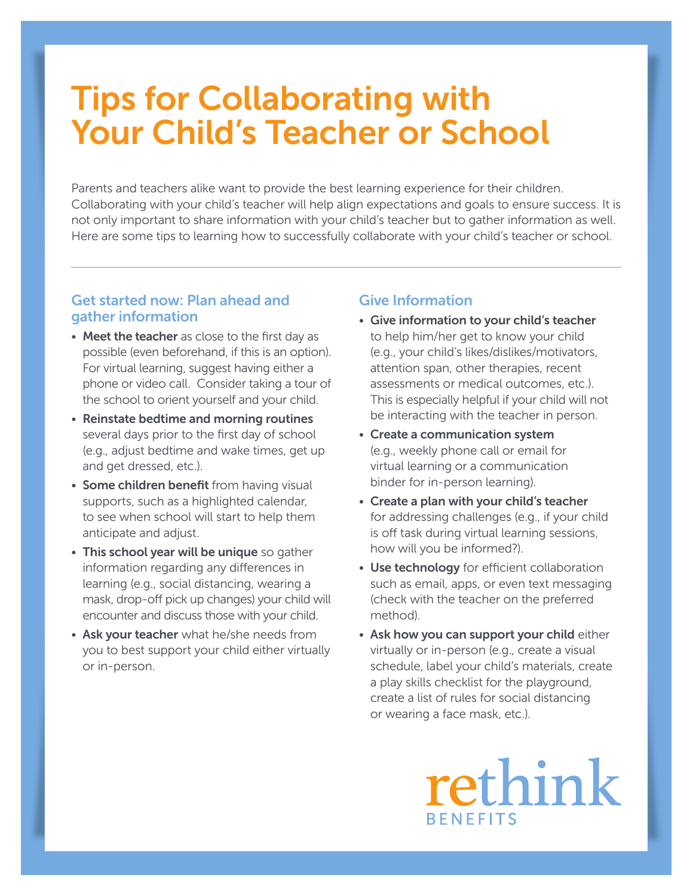# Tips for Collaborating with Your Child's Teacher or School

Parents and teachers alike want to provide the best learning experience for their children. Collaborating with your child's teacher will help align expectations and goals to ensure success. It is not only important to share information with your child's teacher but to gather information as well. Here are some tips to learning how to successfully collaborate with your child's teacher or school.

### Get started now: Plan ahead and gather information

- Meet the teacher as close to the first day as possible (even beforehand, if this is an option). For virtual learning, suggest having either a phone or video call. Consider taking a tour of the school to orient yourself and your child.
- Reinstate bedtime and morning routines several days prior to the first day of school (e.g., adjust bedtime and wake times, get up and get dressed, etc.).
- Some children benefit from having visual supports, such as a highlighted calendar, to see when school will start to help them anticipate and adjust.
- This school year will be unique so gather information regarding any differences in learning (e.g., social distancing, wearing a mask, drop-off pick up changes) your child will encounter and discuss those with your child.
- Ask your teacher what he/she needs from you to best support your child either virtually or in-person.

## Give Information

- Give information to your child's teacher to help him/her get to know your child (e.g., your child's likes/dislikes/motivators, attention span, other therapies, recent assessments or medical outcomes, etc.). This is especially helpful if your child will not be interacting with the teacher in person.
- Create a communication system (e.g., weekly phone call or email for virtual learning or a communication binder for in-person learning).
- Create a plan with your child's teacher for addressing challenges (e.g., if your child is off task during virtual learning sessions, how will you be informed?).
- Use technology for efficient collaboration such as email, apps, or even text messaging (check with the teacher on the preferred method).
- Ask how you can support your child either virtually or in-person (e.g., create a visual schedule, label your child's materials, create a play skills checklist for the playground, create a list of rules for social distancing or wearing a face mask, etc.).